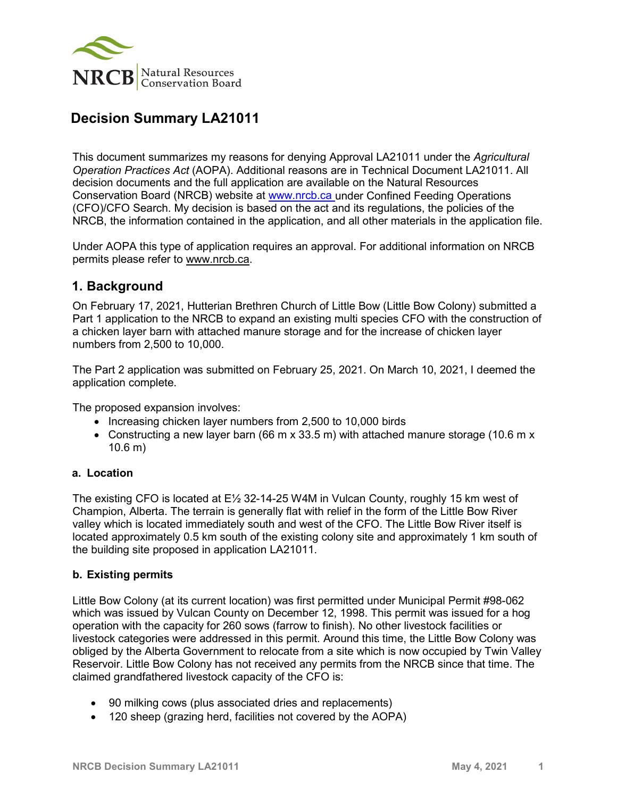

# **Decision Summary LA21011**

This document summarizes my reasons for denying Approval LA21011 under the *Agricultural Operation Practices Act* (AOPA). Additional reasons are in Technical Document LA21011. All decision documents and the full application are available on the Natural Resources Conservation Board (NRCB) website at [www.nrcb.ca](http://www.nrcb.ca/) under Confined Feeding Operations (CFO)/CFO Search. My decision is based on the act and its regulations, the policies of the NRCB, the information contained in the application, and all other materials in the application file.

Under AOPA this type of application requires an approval. For additional information on NRCB permits please refer to [www.nrcb.ca.](file://NRCB-File01/nosync/Application%20Form%20Review/Decision%20Summary%20Template%2027%20April%202020/www.nrcb.ca)

### **1. Background**

On February 17, 2021, Hutterian Brethren Church of Little Bow (Little Bow Colony) submitted a Part 1 application to the NRCB to expand an existing multi species CFO with the construction of a chicken layer barn with attached manure storage and for the increase of chicken layer numbers from 2,500 to 10,000.

The Part 2 application was submitted on February 25, 2021. On March 10, 2021, I deemed the application complete.

The proposed expansion involves:

- Increasing chicken layer numbers from 2,500 to 10,000 birds
- Constructing a new layer barn (66 m x 33.5 m) with attached manure storage (10.6 m x 10.6 m)

#### **a. Location**

The existing CFO is located at E½ 32-14-25 W4M in Vulcan County, roughly 15 km west of Champion, Alberta. The terrain is generally flat with relief in the form of the Little Bow River valley which is located immediately south and west of the CFO. The Little Bow River itself is located approximately 0.5 km south of the existing colony site and approximately 1 km south of the building site proposed in application LA21011.

#### **b. Existing permits**

Little Bow Colony (at its current location) was first permitted under Municipal Permit #98-062 which was issued by Vulcan County on December 12, 1998. This permit was issued for a hog operation with the capacity for 260 sows (farrow to finish). No other livestock facilities or livestock categories were addressed in this permit. Around this time, the Little Bow Colony was obliged by the Alberta Government to relocate from a site which is now occupied by Twin Valley Reservoir. Little Bow Colony has not received any permits from the NRCB since that time. The claimed grandfathered livestock capacity of the CFO is:

- 90 milking cows (plus associated dries and replacements)
- 120 sheep (grazing herd, facilities not covered by the AOPA)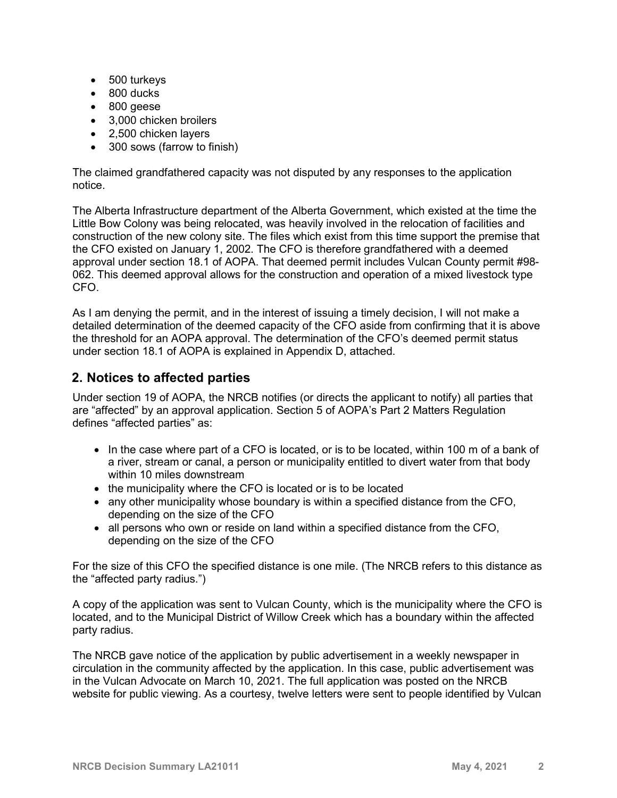- 500 turkeys
- 800 ducks
- 800 geese
- 3,000 chicken broilers
- 2,500 chicken layers
- 300 sows (farrow to finish)

The claimed grandfathered capacity was not disputed by any responses to the application notice.

The Alberta Infrastructure department of the Alberta Government, which existed at the time the Little Bow Colony was being relocated, was heavily involved in the relocation of facilities and construction of the new colony site. The files which exist from this time support the premise that the CFO existed on January 1, 2002. The CFO is therefore grandfathered with a deemed approval under section 18.1 of AOPA. That deemed permit includes Vulcan County permit #98- 062. This deemed approval allows for the construction and operation of a mixed livestock type CFO.

As I am denying the permit, and in the interest of issuing a timely decision, I will not make a detailed determination of the deemed capacity of the CFO aside from confirming that it is above the threshold for an AOPA approval. The determination of the CFO's deemed permit status under section 18.1 of AOPA is explained in Appendix D, attached.

### **2. Notices to affected parties**

Under section 19 of AOPA, the NRCB notifies (or directs the applicant to notify) all parties that are "affected" by an approval application. Section 5 of AOPA's Part 2 Matters Regulation defines "affected parties" as:

- In the case where part of a CFO is located, or is to be located, within 100 m of a bank of a river, stream or canal, a person or municipality entitled to divert water from that body within 10 miles downstream
- the municipality where the CFO is located or is to be located
- any other municipality whose boundary is within a specified distance from the CFO, depending on the size of the CFO
- all persons who own or reside on land within a specified distance from the CFO, depending on the size of the CFO

For the size of this CFO the specified distance is one mile. (The NRCB refers to this distance as the "affected party radius.")

A copy of the application was sent to Vulcan County, which is the municipality where the CFO is located, and to the Municipal District of Willow Creek which has a boundary within the affected party radius.

The NRCB gave notice of the application by public advertisement in a weekly newspaper in circulation in the community affected by the application. In this case, public advertisement was in the Vulcan Advocate on March 10, 2021. The full application was posted on the NRCB website for public viewing. As a courtesy, twelve letters were sent to people identified by Vulcan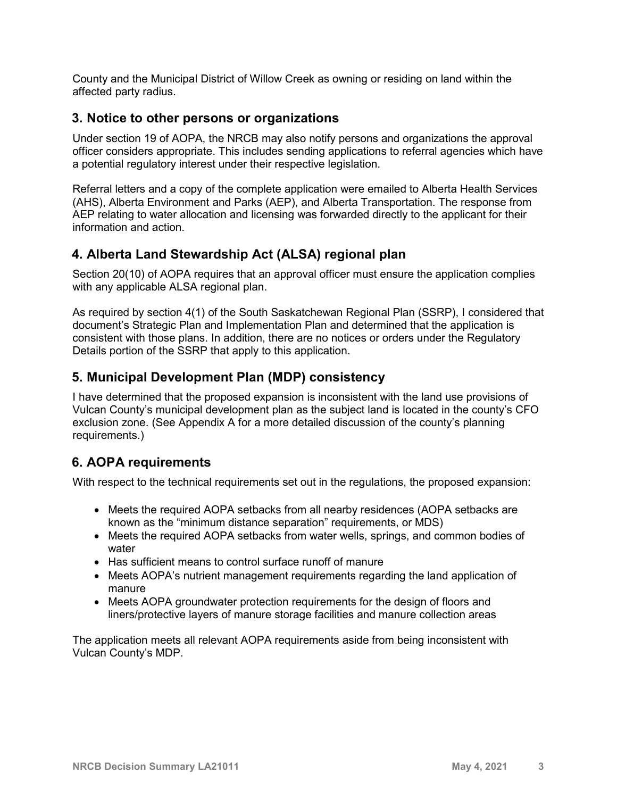County and the Municipal District of Willow Creek as owning or residing on land within the affected party radius.

### **3. Notice to other persons or organizations**

Under section 19 of AOPA, the NRCB may also notify persons and organizations the approval officer considers appropriate. This includes sending applications to referral agencies which have a potential regulatory interest under their respective legislation.

Referral letters and a copy of the complete application were emailed to Alberta Health Services (AHS), Alberta Environment and Parks (AEP), and Alberta Transportation. The response from AEP relating to water allocation and licensing was forwarded directly to the applicant for their information and action.

## **4. Alberta Land Stewardship Act (ALSA) regional plan**

Section 20(10) of AOPA requires that an approval officer must ensure the application complies with any applicable ALSA regional plan.

As required by section 4(1) of the South Saskatchewan Regional Plan (SSRP), I considered that document's Strategic Plan and Implementation Plan and determined that the application is consistent with those plans. In addition, there are no notices or orders under the Regulatory Details portion of the SSRP that apply to this application.

### **5. Municipal Development Plan (MDP) consistency**

I have determined that the proposed expansion is inconsistent with the land use provisions of Vulcan County's municipal development plan as the subject land is located in the county's CFO exclusion zone. (See Appendix A for a more detailed discussion of the county's planning requirements.)

## **6. AOPA requirements**

With respect to the technical requirements set out in the regulations, the proposed expansion:

- Meets the required AOPA setbacks from all nearby residences (AOPA setbacks are known as the "minimum distance separation" requirements, or MDS)
- Meets the required AOPA setbacks from water wells, springs, and common bodies of water
- Has sufficient means to control surface runoff of manure
- Meets AOPA's nutrient management requirements regarding the land application of manure
- Meets AOPA groundwater protection requirements for the design of floors and liners/protective layers of manure storage facilities and manure collection areas

The application meets all relevant AOPA requirements aside from being inconsistent with Vulcan County's MDP.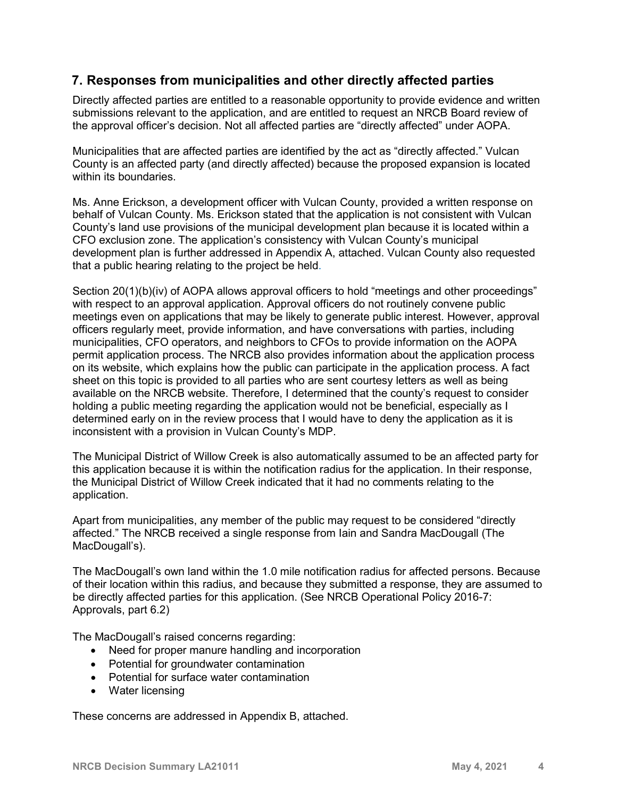### **7. Responses from municipalities and other directly affected parties**

Directly affected parties are entitled to a reasonable opportunity to provide evidence and written submissions relevant to the application, and are entitled to request an NRCB Board review of the approval officer's decision. Not all affected parties are "directly affected" under AOPA.

Municipalities that are affected parties are identified by the act as "directly affected." Vulcan County is an affected party (and directly affected) because the proposed expansion is located within its boundaries.

Ms. Anne Erickson, a development officer with Vulcan County, provided a written response on behalf of Vulcan County. Ms. Erickson stated that the application is not consistent with Vulcan County's land use provisions of the municipal development plan because it is located within a CFO exclusion zone. The application's consistency with Vulcan County's municipal development plan is further addressed in Appendix A, attached. Vulcan County also requested that a public hearing relating to the project be held.

Section 20(1)(b)(iv) of AOPA allows approval officers to hold "meetings and other proceedings" with respect to an approval application. Approval officers do not routinely convene public meetings even on applications that may be likely to generate public interest. However, approval officers regularly meet, provide information, and have conversations with parties, including municipalities, CFO operators, and neighbors to CFOs to provide information on the AOPA permit application process. The NRCB also provides information about the application process on its website, which explains how the public can participate in the application process. A fact sheet on this topic is provided to all parties who are sent courtesy letters as well as being available on the NRCB website. Therefore, I determined that the county's request to consider holding a public meeting regarding the application would not be beneficial, especially as I determined early on in the review process that I would have to deny the application as it is inconsistent with a provision in Vulcan County's MDP.

The Municipal District of Willow Creek is also automatically assumed to be an affected party for this application because it is within the notification radius for the application. In their response, the Municipal District of Willow Creek indicated that it had no comments relating to the application.

Apart from municipalities, any member of the public may request to be considered "directly affected." The NRCB received a single response from Iain and Sandra MacDougall (The MacDougall's).

The MacDougall's own land within the 1.0 mile notification radius for affected persons. Because of their location within this radius, and because they submitted a response, they are assumed to be directly affected parties for this application. (See NRCB Operational Policy 2016-7: Approvals, part 6.2)

The MacDougall's raised concerns regarding:

- Need for proper manure handling and incorporation
- Potential for groundwater contamination
- Potential for surface water contamination
- Water licensing

These concerns are addressed in Appendix B, attached.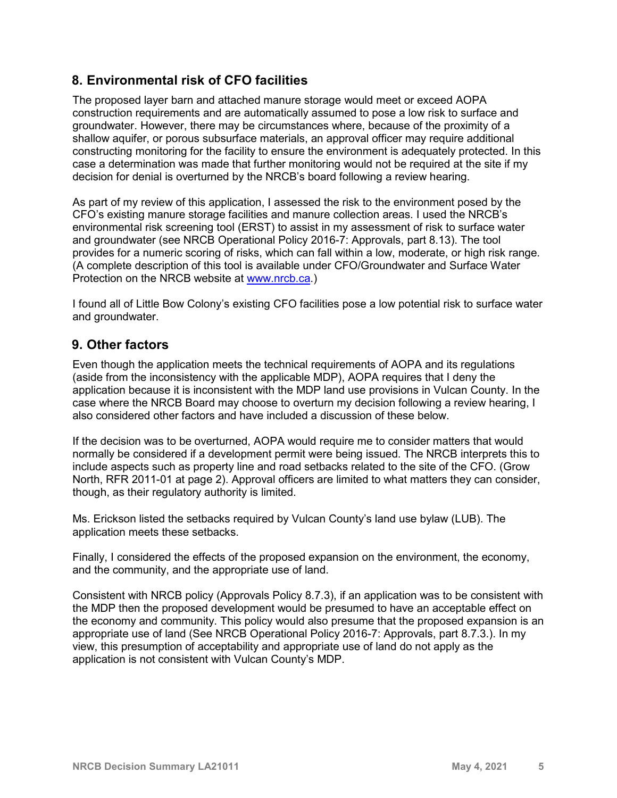## **8. Environmental risk of CFO facilities**

The proposed layer barn and attached manure storage would meet or exceed AOPA construction requirements and are automatically assumed to pose a low risk to surface and groundwater. However, there may be circumstances where, because of the proximity of a shallow aquifer, or porous subsurface materials, an approval officer may require additional constructing monitoring for the facility to ensure the environment is adequately protected. In this case a determination was made that further monitoring would not be required at the site if my decision for denial is overturned by the NRCB's board following a review hearing.

As part of my review of this application, I assessed the risk to the environment posed by the CFO's existing manure storage facilities and manure collection areas. I used the NRCB's environmental risk screening tool (ERST) to assist in my assessment of risk to surface water and groundwater (see NRCB Operational Policy 2016-7: Approvals, part 8.13). The tool provides for a numeric scoring of risks, which can fall within a low, moderate, or high risk range. (A complete description of this tool is available under CFO/Groundwater and Surface Water Protection on the NRCB website at [www.nrcb.ca.](http://www.nrcb.ca/))

I found all of Little Bow Colony's existing CFO facilities pose a low potential risk to surface water and groundwater.

### **9. Other factors**

Even though the application meets the technical requirements of AOPA and its regulations (aside from the inconsistency with the applicable MDP), AOPA requires that I deny the application because it is inconsistent with the MDP land use provisions in Vulcan County. In the case where the NRCB Board may choose to overturn my decision following a review hearing, I also considered other factors and have included a discussion of these below.

If the decision was to be overturned, AOPA would require me to consider matters that would normally be considered if a development permit were being issued. The NRCB interprets this to include aspects such as property line and road setbacks related to the site of the CFO. (Grow North, RFR 2011-01 at page 2). Approval officers are limited to what matters they can consider, though, as their regulatory authority is limited.

Ms. Erickson listed the setbacks required by Vulcan County's land use bylaw (LUB). The application meets these setbacks.

Finally, I considered the effects of the proposed expansion on the environment, the economy, and the community, and the appropriate use of land.

Consistent with NRCB policy (Approvals Policy 8.7.3), if an application was to be consistent with the MDP then the proposed development would be presumed to have an acceptable effect on the economy and community. This policy would also presume that the proposed expansion is an appropriate use of land (See NRCB Operational Policy 2016-7: Approvals, part 8.7.3.). In my view, this presumption of acceptability and appropriate use of land do not apply as the application is not consistent with Vulcan County's MDP.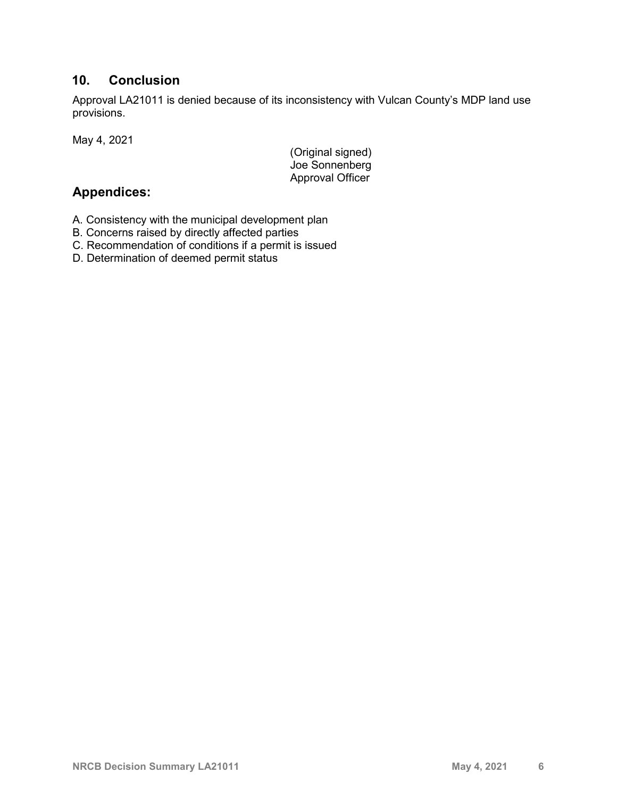## **10. Conclusion**

Approval LA21011 is denied because of its inconsistency with Vulcan County's MDP land use provisions.

May 4, 2021

(Original signed) Joe Sonnenberg Approval Officer

# **Appendices:**

- A. Consistency with the municipal development plan
- B. Concerns raised by directly affected parties
- C. Recommendation of conditions if a permit is issued
- D. Determination of deemed permit status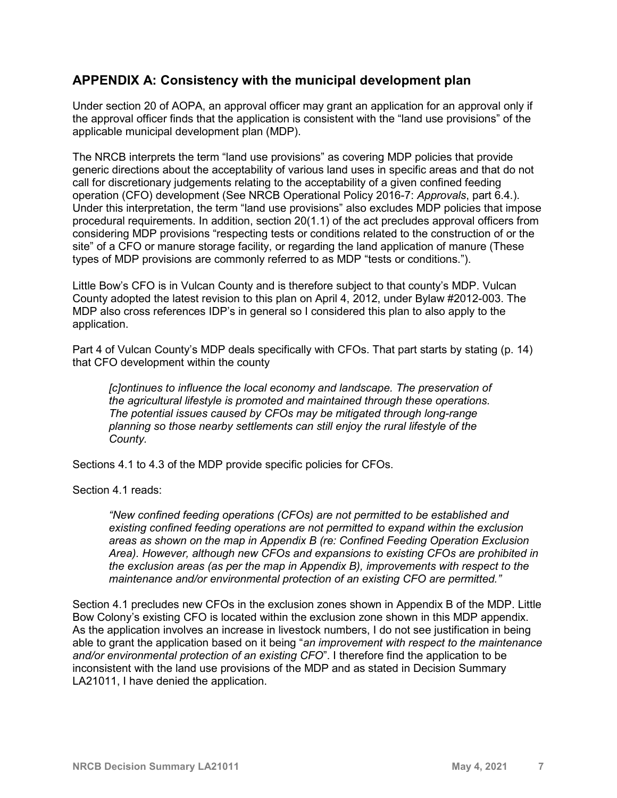### **APPENDIX A: Consistency with the municipal development plan**

Under section 20 of AOPA, an approval officer may grant an application for an approval only if the approval officer finds that the application is consistent with the "land use provisions" of the applicable municipal development plan (MDP).

The NRCB interprets the term "land use provisions" as covering MDP policies that provide generic directions about the acceptability of various land uses in specific areas and that do not call for discretionary judgements relating to the acceptability of a given confined feeding operation (CFO) development (See NRCB Operational Policy 2016-7: *Approvals*, part 6.4.). Under this interpretation, the term "land use provisions" also excludes MDP policies that impose procedural requirements. In addition, section 20(1.1) of the act precludes approval officers from considering MDP provisions "respecting tests or conditions related to the construction of or the site" of a CFO or manure storage facility, or regarding the land application of manure (These types of MDP provisions are commonly referred to as MDP "tests or conditions.").

Little Bow's CFO is in Vulcan County and is therefore subject to that county's MDP. Vulcan County adopted the latest revision to this plan on April 4, 2012, under Bylaw #2012-003. The MDP also cross references IDP's in general so I considered this plan to also apply to the application.

Part 4 of Vulcan County's MDP deals specifically with CFOs. That part starts by stating (p. 14) that CFO development within the county

*[c]ontinues to influence the local economy and landscape. The preservation of the agricultural lifestyle is promoted and maintained through these operations. The potential issues caused by CFOs may be mitigated through long-range planning so those nearby settlements can still enjoy the rural lifestyle of the County.*

Sections 4.1 to 4.3 of the MDP provide specific policies for CFOs.

Section 4.1 reads:

*"New confined feeding operations (CFOs) are not permitted to be established and existing confined feeding operations are not permitted to expand within the exclusion areas as shown on the map in Appendix B (re: Confined Feeding Operation Exclusion Area). However, although new CFOs and expansions to existing CFOs are prohibited in the exclusion areas (as per the map in Appendix B), improvements with respect to the maintenance and/or environmental protection of an existing CFO are permitted."*

Section 4.1 precludes new CFOs in the exclusion zones shown in Appendix B of the MDP. Little Bow Colony's existing CFO is located within the exclusion zone shown in this MDP appendix. As the application involves an increase in livestock numbers, I do not see justification in being able to grant the application based on it being "*an improvement with respect to the maintenance and/or environmental protection of an existing CFO*". I therefore find the application to be inconsistent with the land use provisions of the MDP and as stated in Decision Summary LA21011, I have denied the application.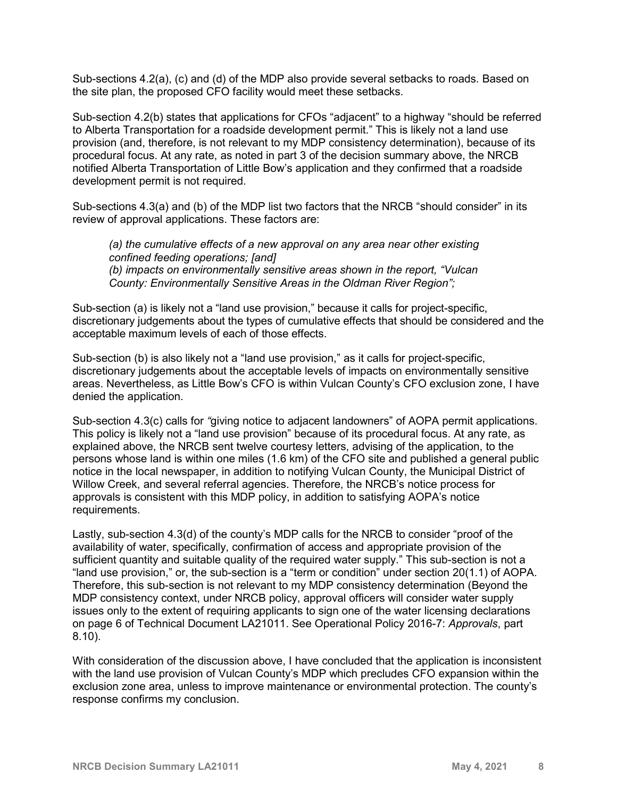Sub-sections 4.2(a), (c) and (d) of the MDP also provide several setbacks to roads. Based on the site plan, the proposed CFO facility would meet these setbacks.

Sub-section 4.2(b) states that applications for CFOs "adjacent" to a highway "should be referred to Alberta Transportation for a roadside development permit." This is likely not a land use provision (and, therefore, is not relevant to my MDP consistency determination), because of its procedural focus. At any rate, as noted in part 3 of the decision summary above, the NRCB notified Alberta Transportation of Little Bow's application and they confirmed that a roadside development permit is not required.

Sub-sections 4.3(a) and (b) of the MDP list two factors that the NRCB "should consider" in its review of approval applications. These factors are:

*(a) the cumulative effects of a new approval on any area near other existing confined feeding operations; [and] (b) impacts on environmentally sensitive areas shown in the report, "Vulcan County: Environmentally Sensitive Areas in the Oldman River Region";*

Sub-section (a) is likely not a "land use provision," because it calls for project-specific, discretionary judgements about the types of cumulative effects that should be considered and the acceptable maximum levels of each of those effects.

Sub-section (b) is also likely not a "land use provision," as it calls for project-specific, discretionary judgements about the acceptable levels of impacts on environmentally sensitive areas. Nevertheless, as Little Bow's CFO is within Vulcan County's CFO exclusion zone, I have denied the application.

Sub-section 4.3(c) calls for *"*giving notice to adjacent landowners" of AOPA permit applications. This policy is likely not a "land use provision" because of its procedural focus. At any rate, as explained above, the NRCB sent twelve courtesy letters, advising of the application, to the persons whose land is within one miles (1.6 km) of the CFO site and published a general public notice in the local newspaper, in addition to notifying Vulcan County, the Municipal District of Willow Creek, and several referral agencies. Therefore, the NRCB's notice process for approvals is consistent with this MDP policy, in addition to satisfying AOPA's notice requirements.

Lastly, sub-section 4.3(d) of the county's MDP calls for the NRCB to consider "proof of the availability of water, specifically, confirmation of access and appropriate provision of the sufficient quantity and suitable quality of the required water supply." This sub-section is not a "land use provision," or, the sub-section is a "term or condition" under section 20(1.1) of AOPA. Therefore, this sub-section is not relevant to my MDP consistency determination (Beyond the MDP consistency context, under NRCB policy, approval officers will consider water supply issues only to the extent of requiring applicants to sign one of the water licensing declarations on page 6 of Technical Document LA21011. See Operational Policy 2016-7: *Approvals*, part 8.10).

With consideration of the discussion above, I have concluded that the application is inconsistent with the land use provision of Vulcan County's MDP which precludes CFO expansion within the exclusion zone area, unless to improve maintenance or environmental protection. The county's response confirms my conclusion.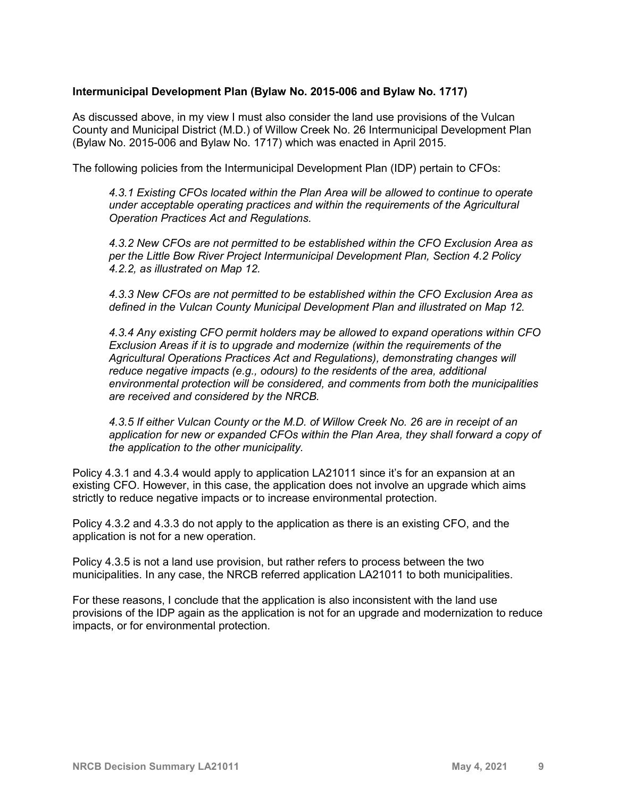#### **Intermunicipal Development Plan (Bylaw No. 2015-006 and Bylaw No. 1717)**

As discussed above, in my view I must also consider the land use provisions of the Vulcan County and Municipal District (M.D.) of Willow Creek No. 26 Intermunicipal Development Plan (Bylaw No. 2015-006 and Bylaw No. 1717) which was enacted in April 2015.

The following policies from the Intermunicipal Development Plan (IDP) pertain to CFOs:

*4.3.1 Existing CFOs located within the Plan Area will be allowed to continue to operate under acceptable operating practices and within the requirements of the Agricultural Operation Practices Act and Regulations.*

*4.3.2 New CFOs are not permitted to be established within the CFO Exclusion Area as per the Little Bow River Project Intermunicipal Development Plan, Section 4.2 Policy 4.2.2, as illustrated on Map 12.*

*4.3.3 New CFOs are not permitted to be established within the CFO Exclusion Area as defined in the Vulcan County Municipal Development Plan and illustrated on Map 12.*

*4.3.4 Any existing CFO permit holders may be allowed to expand operations within CFO Exclusion Areas if it is to upgrade and modernize (within the requirements of the Agricultural Operations Practices Act and Regulations), demonstrating changes will reduce negative impacts (e.g., odours) to the residents of the area, additional environmental protection will be considered, and comments from both the municipalities are received and considered by the NRCB.*

*4.3.5 If either Vulcan County or the M.D. of Willow Creek No. 26 are in receipt of an application for new or expanded CFOs within the Plan Area, they shall forward a copy of the application to the other municipality.* 

Policy 4.3.1 and 4.3.4 would apply to application LA21011 since it's for an expansion at an existing CFO. However, in this case, the application does not involve an upgrade which aims strictly to reduce negative impacts or to increase environmental protection.

Policy 4.3.2 and 4.3.3 do not apply to the application as there is an existing CFO, and the application is not for a new operation.

Policy 4.3.5 is not a land use provision, but rather refers to process between the two municipalities. In any case, the NRCB referred application LA21011 to both municipalities.

For these reasons, I conclude that the application is also inconsistent with the land use provisions of the IDP again as the application is not for an upgrade and modernization to reduce impacts, or for environmental protection.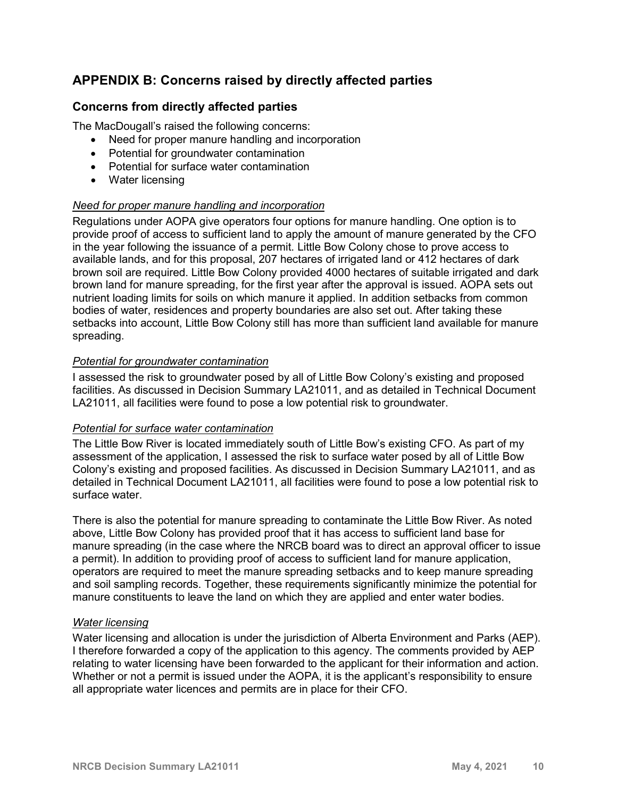# **APPENDIX B: Concerns raised by directly affected parties**

#### **Concerns from directly affected parties**

The MacDougall's raised the following concerns:

- Need for proper manure handling and incorporation
- Potential for groundwater contamination
- Potential for surface water contamination
- Water licensing

#### *Need for proper manure handling and incorporation*

Regulations under AOPA give operators four options for manure handling. One option is to provide proof of access to sufficient land to apply the amount of manure generated by the CFO in the year following the issuance of a permit. Little Bow Colony chose to prove access to available lands, and for this proposal, 207 hectares of irrigated land or 412 hectares of dark brown soil are required. Little Bow Colony provided 4000 hectares of suitable irrigated and dark brown land for manure spreading, for the first year after the approval is issued. AOPA sets out nutrient loading limits for soils on which manure it applied. In addition setbacks from common bodies of water, residences and property boundaries are also set out. After taking these setbacks into account, Little Bow Colony still has more than sufficient land available for manure spreading.

#### *Potential for groundwater contamination*

I assessed the risk to groundwater posed by all of Little Bow Colony's existing and proposed facilities. As discussed in Decision Summary LA21011, and as detailed in Technical Document LA21011, all facilities were found to pose a low potential risk to groundwater.

#### *Potential for surface water contamination*

The Little Bow River is located immediately south of Little Bow's existing CFO. As part of my assessment of the application, I assessed the risk to surface water posed by all of Little Bow Colony's existing and proposed facilities. As discussed in Decision Summary LA21011, and as detailed in Technical Document LA21011, all facilities were found to pose a low potential risk to surface water.

There is also the potential for manure spreading to contaminate the Little Bow River. As noted above, Little Bow Colony has provided proof that it has access to sufficient land base for manure spreading (in the case where the NRCB board was to direct an approval officer to issue a permit). In addition to providing proof of access to sufficient land for manure application, operators are required to meet the manure spreading setbacks and to keep manure spreading and soil sampling records. Together, these requirements significantly minimize the potential for manure constituents to leave the land on which they are applied and enter water bodies.

#### *Water licensing*

Water licensing and allocation is under the jurisdiction of Alberta Environment and Parks (AEP). I therefore forwarded a copy of the application to this agency. The comments provided by AEP relating to water licensing have been forwarded to the applicant for their information and action. Whether or not a permit is issued under the AOPA, it is the applicant's responsibility to ensure all appropriate water licences and permits are in place for their CFO.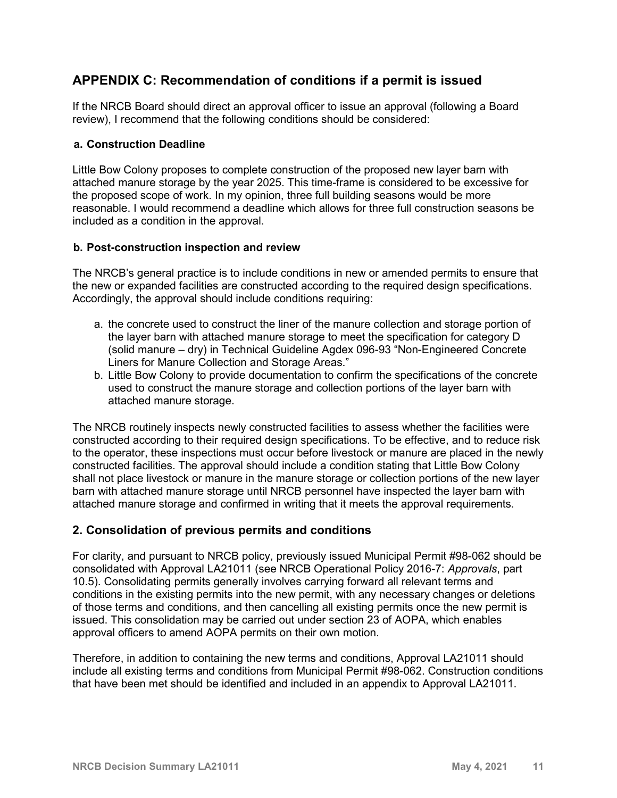## **APPENDIX C: Recommendation of conditions if a permit is issued**

If the NRCB Board should direct an approval officer to issue an approval (following a Board review), I recommend that the following conditions should be considered:

#### **a. Construction Deadline**

Little Bow Colony proposes to complete construction of the proposed new layer barn with attached manure storage by the year 2025. This time-frame is considered to be excessive for the proposed scope of work. In my opinion, three full building seasons would be more reasonable. I would recommend a deadline which allows for three full construction seasons be included as a condition in the approval.

#### **b. Post-construction inspection and review**

The NRCB's general practice is to include conditions in new or amended permits to ensure that the new or expanded facilities are constructed according to the required design specifications. Accordingly, the approval should include conditions requiring:

- a. the concrete used to construct the liner of the manure collection and storage portion of the layer barn with attached manure storage to meet the specification for category D (solid manure – dry) in Technical Guideline Agdex 096-93 "Non-Engineered Concrete Liners for Manure Collection and Storage Areas."
- b. Little Bow Colony to provide documentation to confirm the specifications of the concrete used to construct the manure storage and collection portions of the layer barn with attached manure storage.

The NRCB routinely inspects newly constructed facilities to assess whether the facilities were constructed according to their required design specifications. To be effective, and to reduce risk to the operator, these inspections must occur before livestock or manure are placed in the newly constructed facilities. The approval should include a condition stating that Little Bow Colony shall not place livestock or manure in the manure storage or collection portions of the new layer barn with attached manure storage until NRCB personnel have inspected the layer barn with attached manure storage and confirmed in writing that it meets the approval requirements.

#### **2. Consolidation of previous permits and conditions**

For clarity, and pursuant to NRCB policy, previously issued Municipal Permit #98-062 should be consolidated with Approval LA21011 (see NRCB Operational Policy 2016-7: *Approvals*, part 10.5). Consolidating permits generally involves carrying forward all relevant terms and conditions in the existing permits into the new permit, with any necessary changes or deletions of those terms and conditions, and then cancelling all existing permits once the new permit is issued. This consolidation may be carried out under section 23 of AOPA, which enables approval officers to amend AOPA permits on their own motion.

Therefore, in addition to containing the new terms and conditions, Approval LA21011 should include all existing terms and conditions from Municipal Permit #98-062. Construction conditions that have been met should be identified and included in an appendix to Approval LA21011.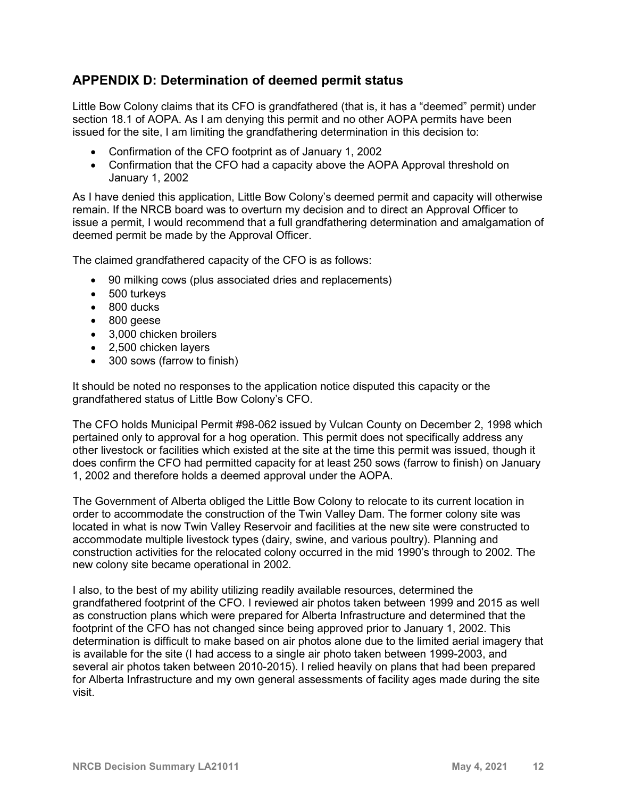## **APPENDIX D: Determination of deemed permit status**

Little Bow Colony claims that its CFO is grandfathered (that is, it has a "deemed" permit) under section 18.1 of AOPA. As I am denying this permit and no other AOPA permits have been issued for the site, I am limiting the grandfathering determination in this decision to:

- Confirmation of the CFO footprint as of January 1, 2002
- Confirmation that the CFO had a capacity above the AOPA Approval threshold on January 1, 2002

As I have denied this application, Little Bow Colony's deemed permit and capacity will otherwise remain. If the NRCB board was to overturn my decision and to direct an Approval Officer to issue a permit, I would recommend that a full grandfathering determination and amalgamation of deemed permit be made by the Approval Officer.

The claimed grandfathered capacity of the CFO is as follows:

- 90 milking cows (plus associated dries and replacements)
- 500 turkeys
- 800 ducks
- 800 geese
- 3,000 chicken broilers
- 2,500 chicken layers
- 300 sows (farrow to finish)

It should be noted no responses to the application notice disputed this capacity or the grandfathered status of Little Bow Colony's CFO.

The CFO holds Municipal Permit #98-062 issued by Vulcan County on December 2, 1998 which pertained only to approval for a hog operation. This permit does not specifically address any other livestock or facilities which existed at the site at the time this permit was issued, though it does confirm the CFO had permitted capacity for at least 250 sows (farrow to finish) on January 1, 2002 and therefore holds a deemed approval under the AOPA.

The Government of Alberta obliged the Little Bow Colony to relocate to its current location in order to accommodate the construction of the Twin Valley Dam. The former colony site was located in what is now Twin Valley Reservoir and facilities at the new site were constructed to accommodate multiple livestock types (dairy, swine, and various poultry). Planning and construction activities for the relocated colony occurred in the mid 1990's through to 2002. The new colony site became operational in 2002.

I also, to the best of my ability utilizing readily available resources, determined the grandfathered footprint of the CFO. I reviewed air photos taken between 1999 and 2015 as well as construction plans which were prepared for Alberta Infrastructure and determined that the footprint of the CFO has not changed since being approved prior to January 1, 2002. This determination is difficult to make based on air photos alone due to the limited aerial imagery that is available for the site (I had access to a single air photo taken between 1999-2003, and several air photos taken between 2010-2015). I relied heavily on plans that had been prepared for Alberta Infrastructure and my own general assessments of facility ages made during the site visit.